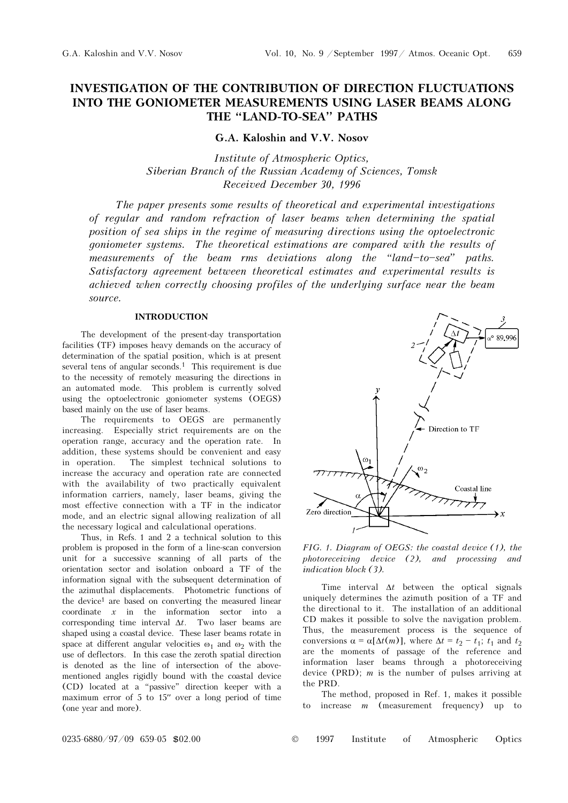# INVESTIGATION OF THE CONTRIBUTION OF DIRECTION FLUCTUATIONS INTO THE GONIOMETER MEASUREMENTS USING LASER BEAMS ALONG<br>THE "LAND-TO-SEA" PATHS

G.A. Kaloshin and V.V. Nosov

Institute of Atmospheric Optics, Siberian Branch of the Russian Academy of Sciences, Tomsk Received December 30, 1996

The paper presents some results of theoretical and experimental investigations of regular and random refraction of laser beams when determining the spatial position of sea ships in the regime of measuring directions using the optoelectronic goniometer systems. The theoretical estimations are compared with the results of measurements of the beam rms deviations along the "land-to-sea" paths. Satisfactory agreement between theoretical estimates and experimental results is achieved when correctly choosing profiles of the underlying surface near the beam source.

# INTRODUCTION

The development of the present-day transportation facilities (TF) imposes heavy demands on the accuracy of determination of the spatial position, which is at present several tens of angular seconds.<sup>1</sup> This requirement is due to the necessity of remotely measuring the directions in an automated mode. This problem is currently solved using the optoelectronic goniometer systems (OEGS) based mainly on the use of laser beams.

The requirements to OEGS are permanently increasing. Especially strict requirements are on the operation range, accuracy and the operation rate. In addition, these systems should be convenient and easy in operation. The simplest technical solutions to increase the accuracy and operation rate are connected with the availability of two practically equivalent information carriers, namely, laser beams, giving the most effective connection with a TF in the indicator mode, and an electric signal allowing realization of all the necessary logical and calculational operations.

Thus, in Refs. 1 and 2 a technical solution to this problem is proposed in the form of a line-scan conversion unit for a successive scanning of all parts of the orientation sector and isolation onboard a TF of the information signal with the subsequent determination of the azimuthal displacements. Photometric functions of the device<sup>1</sup> are based on converting the measured linear  $coordinate \t x$  in the information sector into a corresponding time interval  $\Delta t$ . Two laser beams are shaped using a coastal device. These laser beams rotate in space at different angular velocities  $\omega_1$  and  $\omega_2$  with the use of deflectors. In this case the zeroth spatial direction is denoted as the line of intersection of the abovementioned angles rigidly bound with the coastal device (CD) located at a œpassive" direction keeper with a maximum error of 5 to 15′′ over a long period of time (one year and more).



FIG. 1. Diagram of OEGS: the coastal device (1), the photoreceiving device (2), and processing and indication block (3).

Time interval  $\Delta t$  between the optical signals uniquely determines the azimuth position of a TF and the directional to it. The installation of an additional CD makes it possible to solve the navigation problem. Thus, the measurement process is the sequence of conversions  $\alpha = \alpha[\Delta t(m)]$ , where  $\Delta t = t_2 - t_1$ ;  $t_1$  and  $t_2$ are the moments of passage of the reference and information laser beams through a photoreceiving device (PRD);  $m$  is the number of pulses arriving at the PRD.

The method, proposed in Ref. 1, makes it possible to increase  $m$  (measurement frequency) up to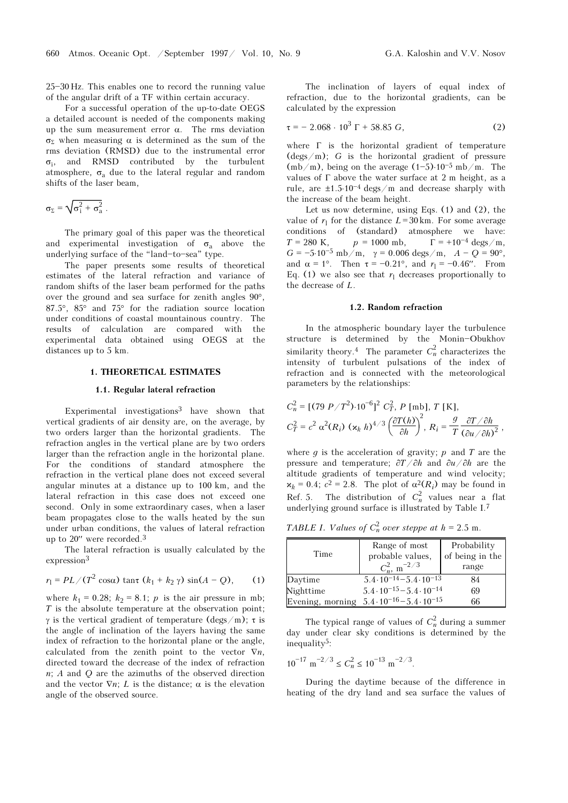$25 - 30$  Hz. This enables one to record the running value of the angular drift of a TF within certain accuracy.

For a successful operation of the up-to-date OEGS a detailed account is needed of the components making up the sum measurement error α. The rms deviation σ<sub>Σ</sub> when measuring α is determined as the sum of the rms deviation (RMSD) due to the instrumental error  $\sigma_i$ , and RMSD contributed by the turbulent atmosphere,  $\sigma_a$  due to the lateral regular and random shifts of the laser beam,

$$
\sigma_{\Sigma} = \sqrt{\sigma_i^2 + \sigma_a^2} \ .
$$

The primary goal of this paper was the theoretical and experimental investigation of  $\sigma_a$  above the underlying surface of the "land-to-sea" type.

The paper presents some results of theoretical estimates of the lateral refraction and variance of random shifts of the laser beam performed for the paths over the ground and sea surface for zenith angles 90°, 87.5°, 85° and 75° for the radiation source location under conditions of coastal mountainous country. The results of calculation are compared with the experimental data obtained using OEGS at the distances up to 5 km.

# 1. THEORETICAL ESTIMATES

#### 1.1. Regular lateral refraction

Experimental investigations3 have shown that vertical gradients of air density are, on the average, by two orders larger than the horizontal gradients. The refraction angles in the vertical plane are by two orders larger than the refraction angle in the horizontal plane. For the conditions of standard atmosphere the refraction in the vertical plane does not exceed several angular minutes at a distance up to 100 km, and the lateral refraction in this case does not exceed one second. Only in some extraordinary cases, when a laser beam propagates close to the walls heated by the sun under urban conditions, the values of lateral refraction up to 20′′ were recorded.<sup>3</sup>

The lateral refraction is usually calculated by the expression<sup>3</sup>

$$
r_1 = PL / (T^2 \cos \alpha) \tan (\kappa_1 + \kappa_2 \gamma) \sin(A - Q),
$$
 (1)

where  $k_1 = 0.28$ ;  $k_2 = 8.1$ ; p is the air pressure in mb;  $T$  is the absolute temperature at the observation point; γ is the vertical gradient of temperature (degs/m); τ is the angle of inclination of the layers having the same index of refraction to the horizontal plane or the angle, calculated from the zenith point to the vector  $\nabla n$ , directed toward the decrease of the index of refraction  $n$ ; A and Q are the azimuths of the observed direction and the vector  $\nabla n$ ; L is the distance;  $\alpha$  is the elevation angle of the observed source.

The inclination of layers of equal index of refraction, due to the horizontal gradients, can be calculated by the expression

$$
\tau = -2.068 \cdot 10^3 \Gamma + 58.85 G, \tag{2}
$$

where Γ is the horizontal gradient of temperature  $(\text{degs}/m)$ ; G is the horizontal gradient of pressure  $(mb/m)$ , being on the average  $(1-5)\cdot 10^{-5}$  mb/m. The values of  $\Gamma$  above the water surface at 2 m height, as a rule, are  $\pm 1.5 \cdot 10^{-4}$  degs/m and decrease sharply with the increase of the beam height.

Let us now determine, using Eqs. (1) and (2), the value of  $r_1$  for the distance  $L=30$  km. For some average conditions of (standard) atmosphere we have:  $T = 280 \text{ K}, \qquad p = 1000 \text{ mb}, \qquad \Gamma = +10^{-4} \text{ degs/m},$ G =  $-5.10^{-5}$  mb/m,  $\gamma = 0.006$  degs/m,  $A - Q = 90^{\circ}$ , and  $\alpha = 1^{\circ}$ . Then  $\tau = -0.21^{\circ}$ , and  $r_1 = -0.46'$ . From Eq. (1) we also see that  $r_1$  decreases proportionally to the decrease of L.

#### 1.2. Random refraction

In the atmospheric boundary layer the turbulence structure is determined by the Monin-Obukhov similarity theory.<sup>4</sup> The parameter  $C_n^2$  characterizes the intensity of turbulent pulsations of the index of refraction and is connected with the meteorological parameters by the relationships:

$$
C_n^2 = \left[ (79 \ P/T^2) \cdot 10^{-6} \right]^2 C_T^2, P \text{ [mb]}, T \text{ [K]},
$$
  

$$
C_T^2 = c^2 \alpha^2 (R_i) \left( \alpha_k h \right)^{4/3} \left( \frac{\partial T(h)}{\partial h} \right)^2, R_i = \frac{g}{T} \frac{\partial T/\partial h}{(\partial u/\partial h)^2},
$$

where q is the acceleration of gravity;  $p$  and  $T$  are the pressure and temperature;  $\frac{\partial T}{\partial h}$  and  $\frac{\partial u}{\partial h}$  are the altitude gradients of temperature and wind velocity;  $\mathbf{x}_k = 0.4$ ;  $c^2 = 2.8$ . The plot of  $\alpha^2(R_i)$  may be found in Ref. 5. The distribution of  $C_n^2$  values near a flat underlying ground surface is illustrated by Table I.<sup>7</sup>

TABLE I. Values of  $C_n^2$  over steppe at  $h = 2.5$  m.

| Time      | Range of most<br>probable values,<br>$C_n^2$ , m <sup>-2/3</sup> | Probability<br>of being in the<br>range |
|-----------|------------------------------------------------------------------|-----------------------------------------|
| Daytime   | $5.4 \cdot 10^{-14} - 5.4 \cdot 10^{-13}$                        | 84                                      |
| Nighttime | $5.4 \cdot 10^{-15} - 5.4 \cdot 10^{-14}$                        | 69                                      |
|           | Evening, morning $5.4 \cdot 10^{-16} - 5.4 \cdot 10^{-15}$       | 66                                      |

The typical range of values of  $C_n^2$  during a summer day under clear sky conditions is determined by the inequality5:

 $10^{-17}$  m<sup>-2/3</sup>  $\leq C_n^2 \leq 10^{-13}$  m<sup>-2/3</sup>.

During the daytime because of the difference in heating of the dry land and sea surface the values of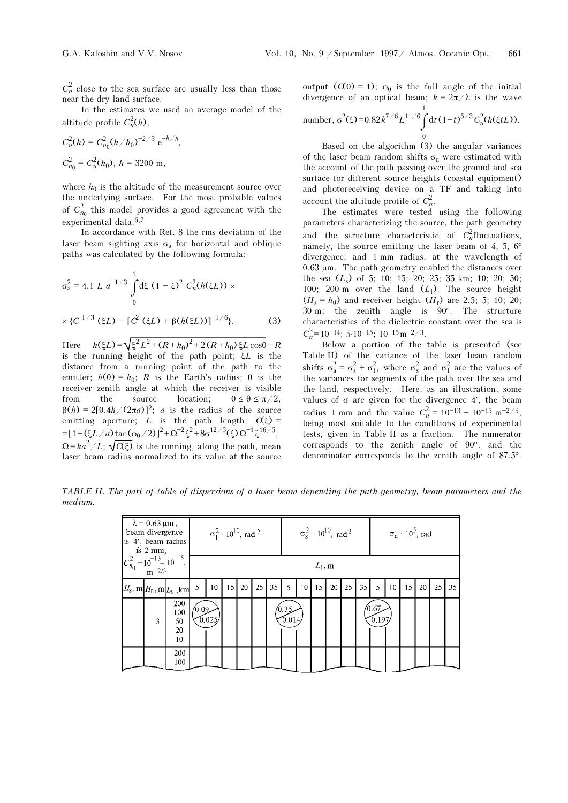$C_n^2$  close to the sea surface are usually less than those near the dry land surface.

In the estimates we used an average model of the altitude profile  $C_n^2(h)$ ,

 $\frac{n}{\cdot}$ 

$$
C_n^2(h) = C_{n_0}^2 (h/h_0)^{-2/3} e^{-h/h}
$$
  

$$
C_{n_0}^2 = C_n^2(h_0), h = 3200 \text{ m},
$$

where  $h_0$  is the altitude of the measurement source over the underlying surface. For the most probable values of  $C_{n_0}^2$  this model provides a good agreement with the experimental data.6,7

In accordance with Ref. 8 the rms deviation of the laser beam sighting axis  $\sigma_a$  for horizontal and oblique paths was calculated by the following formula:

$$
\sigma_{a}^{2} = 4.1 L a^{-1/3} \int_{0}^{1} d\xi (1 - \xi)^{2} C_{n}^{2}(h(\xi L)) \times
$$
  
 
$$
\times \{C^{-1/3} (\xi L) - [C^{2} (\xi L) + \beta (h(\xi L))]^{-1/6}.
$$
 (3)

Here  $h(\xi L) = \sqrt{\xi^2 L^2 + (R + h_0)^2 + 2(R + h_0)} \xi L \cos\theta - R$ is the running height of the path point; ξL is the distance from a running point of the path to the emitter;  $h(0) = h_0$ ; R is the Earth's radius;  $\theta$  is the receiver zenith angle at which the receiver is visible from the source location;  $0 \le \theta \le \pi/2$ ,  $β(h) = 2[0.4h/(2πa)]^2$ ; *a* is the radius of the source emitting aperture; L is the path length;  $\alpha(\xi)$  = =[1+( $\xi L/a$ ) tan( $\varphi_0/2$ )]<sup>2</sup> +  $\Omega^{-2} \xi^2$  +  $8\sigma^{12/5}(\xi) \Omega^{-1} \xi^{16/5}$ ,  $\Omega = ka^2/L$ ;  $\sqrt{\alpha \xi}$  is the running, along the path, mean laser beam radius normalized to its value at the source

output  $(Q(0) = 1)$ ;  $\varphi_0$  is the full angle of the initial divergence of an optical beam;  $k = 2\pi/\lambda$  is the wave 1

number, 
$$
\sigma^2(\xi) = 0.82 k^{7/6} L^{11/6} \int_0^{\xi} dt (1-t)^{5/3} C_n^2(h(\xi t L)).
$$

Based on the algorithm (3) the angular variances of the laser beam random shifts  $\sigma_{a}$  were estimated with the account of the path passing over the ground and sea surface for different source heights (coastal equipment) and photoreceiving device on a TF and taking into account the altitude profile of  $C_n^2$ .

The estimates were tested using the following parameters characterizing the source, the path geometry and the structure characteristic of  $C_n^2$  fluctuations, namely, the source emitting the laser beam of 4, 5,  $6^\circ$ divergence; and 1 mm radius, at the wavelength of 0.63 μm. The path geometry enabled the distances over the sea  $(L_s)$  of 5; 10; 15; 20; 25; 35 km; 10; 20; 50; 100; 200 m over the land  $(L_1)$ . The source height  $(H_s = h_0)$  and receiver height  $(H_r)$  are 2.5; 5; 10; 20; 30 m; the zenith angle is 90°. The structure characteristics of the dielectric constant over the sea is  $C_n^2$ =10<sup>-14</sup>; 5⋅10<sup>-15</sup>; 10<sup>-15</sup>m<sup>-2</sup>/<sup>3</sup>.

Below a portion of the table is presented (see Table II) of the variance of the laser beam random shifts  $\sigma_a^2 = \sigma_s^2 + \sigma_1^2$ , where  $\sigma_s^2$  and  $\sigma_1^2$  are the values of the variances for segments of the path over the sea and the land, respectively. Here, as an illustration, some values of  $\sigma$  are given for the divergence 4', the beam radius 1 mm and the value  $C_n^2 = 10^{-13} - 10^{-15} \text{ m}^{-2/3}$ , being most suitable to the conditions of experimental tests, given in Table II as a fraction. The numerator corresponds to the zenith angle of 90°, and the denominator corresponds to the zenith angle of 87.5°.

TABLE II. The part of table of dispersions of a laser beam depending the path geometry, beam parameters and the medium.

| $\lambda$ = 0.63 $\mu$ m,<br>beam divergence<br>is 4', beam radius<br>$is$ 2 mm, |   |                                                        | $\sigma_1^2 \cdot 10^{10}$ , rad <sup>2</sup> |       |    |    |    | $\sigma_s^2 \cdot 10^{10}$ , rad <sup>2</sup> |                 |    |                 |    | $\sigma_{\rm a} \cdot 10^5$ , rad |    |                           |    |    |    |    |    |
|----------------------------------------------------------------------------------|---|--------------------------------------------------------|-----------------------------------------------|-------|----|----|----|-----------------------------------------------|-----------------|----|-----------------|----|-----------------------------------|----|---------------------------|----|----|----|----|----|
|                                                                                  |   | $ C_{n_0}^2 = 10^{-13} - 10^{-15},$<br>m-2/3           | $L_1$ , m                                     |       |    |    |    |                                               |                 |    |                 |    |                                   |    |                           |    |    |    |    |    |
|                                                                                  |   | $ H_{\rm S}, {\rm m} H_{\rm f}, {\rm m} L_{\rm S}$ ,km | 5                                             | 10    | 15 | 20 | 25 | 35                                            | 5 <sub>1</sub>  | 10 | 15 <sup>1</sup> | 20 | 25                                | 35 | 5                         | 10 | 15 | 20 | 25 | 35 |
|                                                                                  | 3 | 200<br>100<br>50<br>20<br>10                           | /0.09                                         | 0.025 |    |    |    |                                               | (0.35)<br>0.014 |    |                 |    |                                   |    | $^{\prime} 0.67$<br>0.197 |    |    |    |    |    |
|                                                                                  |   | 200<br>100                                             |                                               |       |    |    |    |                                               |                 |    |                 |    |                                   |    |                           |    |    |    |    |    |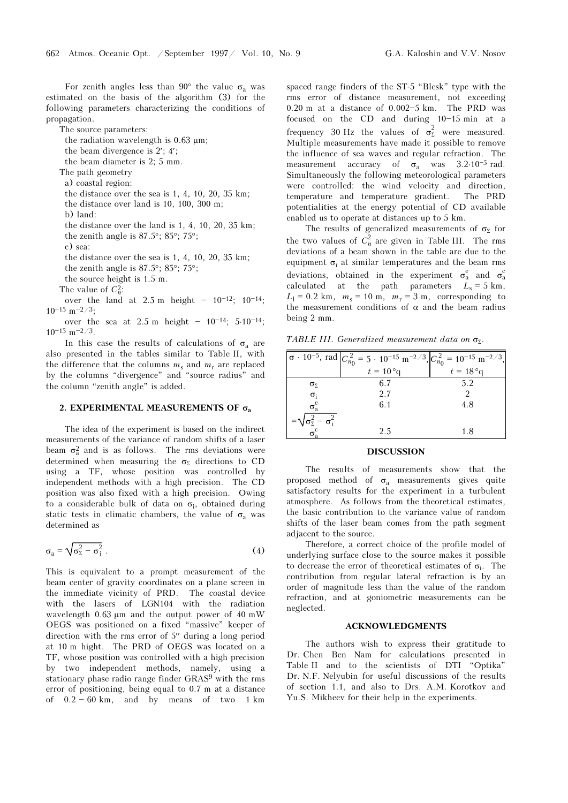For zenith angles less than 90 $^{\circ}$  the value  $\sigma$ <sub>a</sub> was estimated on the basis of the algorithm (3) for the following parameters characterizing the conditions of propagation.

The source parameters:

the radiation wavelength is  $0.63 \mu m$ ; the beam divergence is 2′; 4′; the beam diameter is 2; 5 mm. The path geometry a) coastal region: the distance over the sea is 1, 4, 10, 20, 35 km; the distance over land is 10, 100, 300 m; b) land: the distance over the land is 1, 4, 10, 20, 35 km; the zenith angle is 87.5°; 85°; 75°; c) sea: the distance over the sea is 1, 4, 10, 20, 35 km; the zenith angle is 87.5°; 85°; 75°; the source height is 1.5 m. The value of  $C_n^2$ : over the land at  $2.5 \text{ m}$  height  $-10^{-12}$ ;  $10^{-14}$ ;  $10^{-15}$  m<sup>-2/3</sup>;

over the sea at  $2.5 \text{ m}$  height  $-10^{-14}$ ;  $5.10^{-14}$ ;  $10^{-15}$  m $^{-2/3}$ .

In this case the results of calculations of  $\sigma_a$  are also presented in the tables similar to Table II, with the difference that the columns  $m_s$  and  $m_r$  are replaced by the columns "divergence" and "source radius" and the column "zenith angle" is added.

# 2. EXPERIMENTAL MEASUREMENTS OF  $\sigma_a$

The idea of the experiment is based on the indirect measurements of the variance of random shifts of a laser beam  $\sigma_a^2$  and is as follows. The rms deviations were determined when measuring the  $\sigma_{\Sigma}$  directions to CD using a TF, whose position was controlled by independent methods with a high precision. The CD position was also fixed with a high precision. Owing to a considerable bulk of data on  $\sigma_i$ , obtained during static tests in climatic chambers, the value of  $\sigma$ <sub>a</sub> was determined as

$$
\sigma_{\rm a} = \sqrt{\sigma_{\rm \Sigma}^2 - \sigma_{\rm i}^2} \ . \tag{4}
$$

This is equivalent to a prompt measurement of the beam center of gravity coordinates on a plane screen in the immediate vicinity of PRD. The coastal device with the lasers of LGN104 with the radiation wavelength 0.63 μm and the output power of 40 mW OEGS was positioned on a fixed "massive" keeper of direction with the rms error of 5′′ during a long period at 10 m hight. The PRD of OEGS was located on a TF, whose position was controlled with a high precision by two independent methods, namely, using a stationary phase radio range finder GRAS9 with the rms error of positioning, being equal to 0.7 m at a distance of  $0.2 - 60$  km, and by means of two 1 km spaced range finders of the ST-5 "Blesk" type with the rms error of distance measurement, not exceeding  $0.20$  m at a distance of  $0.002-5$  km. The PRD was focused on the CD and during  $10-15$  min at a frequency 30 Hz the values of  $\sigma_{\Sigma}^2$  were measured. Multiple measurements have made it possible to remove the influence of sea waves and regular refraction. The measurement accuracy of  $\sigma_a$  was 3.2⋅10<sup>-5</sup> rad. Simultaneously the following meteorological parameters were controlled: the wind velocity and direction, temperature and temperature gradient. The PRD potentialities at the energy potential of CD available enabled us to operate at distances up to 5 km.

The results of generalized measurements of  $\sigma_{\Sigma}$  for the two values of  $C_n^2$  are given in Table III. The rms deviations of a beam shown in the table are due to the equipment  $\sigma_i$  at similar temperatures and the beam rms deviations, obtained in the experiment  $\sigma_a^e$  and  $\sigma_a^c$ calculated at the path parameters  $L_s = 5$  km,  $L_1 = 0.2$  km,  $m_s = 10$  m,  $m_r = 3$  m, corresponding to the measurement conditions of  $\alpha$  and the beam radius being 2 mm.

TABLE III. Generalized measurement data on  $\sigma_{\Sigma}$ .

|                                                            | $\sigma \cdot 10^{-5}$ , rad $C_{n_0}^2 = 5 \cdot 10^{-15}$ m <sup>-2/3</sup> , $C_{n_0}^2 = 10^{-15}$ m <sup>-2/3</sup> , |                    |
|------------------------------------------------------------|----------------------------------------------------------------------------------------------------------------------------|--------------------|
|                                                            | $t = 10^{\circ}$ q                                                                                                         | $t = 18^{\circ}$ g |
| $\sigma_{\Sigma}$                                          | 6.7                                                                                                                        | 5.2                |
| $\sigma_i$                                                 | 2.7                                                                                                                        |                    |
| $\sigma_a^e$                                               | 6.1                                                                                                                        | 4.8                |
|                                                            |                                                                                                                            |                    |
| $=\sqrt{\sigma_{\Sigma}^2-\sigma_{i}^2}$<br>$\sigma_{a}^c$ | 2.5                                                                                                                        | 1.8                |

#### DISCUSSION

The results of measurements show that the proposed method of  $\sigma_a$  measurements gives quite satisfactory results for the experiment in a turbulent atmosphere. As follows from the theoretical estimates, the basic contribution to the variance value of random shifts of the laser beam comes from the path segment adjacent to the source.

Therefore, a correct choice of the profile model of underlying surface close to the source makes it possible to decrease the error of theoretical estimates of  $\sigma_i$ . The contribution from regular lateral refraction is by an order of magnitude less than the value of the random refraction, and at goniometric measurements can be neglected.

#### ACKNOWLEDGMENTS

The authors wish to express their gratitude to Dr. Chen Ben Nam for calculations presented in Table II and to the scientists of DTI "Optika" Dr. N.F. Nelyubin for useful discussions of the results of section 1.1, and also to Drs. A.M. Korotkov and Yu.S. Mikheev for their help in the experiments.